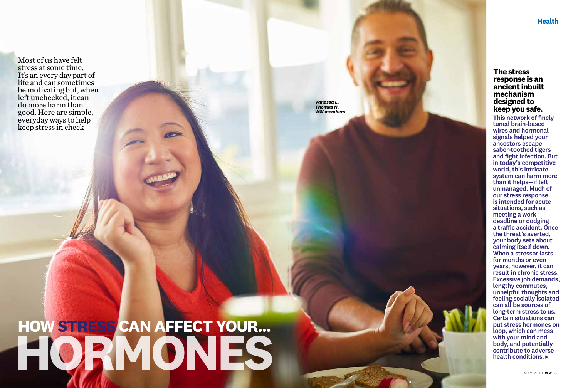# **HOW STRESS CAN AFFECT YOUR... HORMONES**

This network of finely tuned brain-based wires and hormonal signals helped your ancestors escape saber-toothed tigers and fight infection. But in today's competitive world, this intricate system can harm more than it helps—if left unmanaged. Much of our stress response is intended for acute situations, such as meeting a work deadline or dodging a traffic accident. Once the threat's averted, your body sets about calming itself down. When a stressor lasts for months or even years, however, it can result in chronic stress. Excessive job demands, lengthy commutes, unhelpful thoughts and feeling socially isolated can all be sources of long-term stress to us. Certain situations can put stress hormones on loop, which can mess with your mind and body, and potentially contribute to adverse health conditions.

## **The stress response is an ancient inbuilt mechanism designed to keep you safe.**

## **Health**

Most of us have felt stress at some time. It's an every day part of life and can sometimes be motivating but, when left unchecked, it can do more harm than good. Here are simple, everyday ways to help keep stress in check

*Vanessa L. Thomas N. WW members*